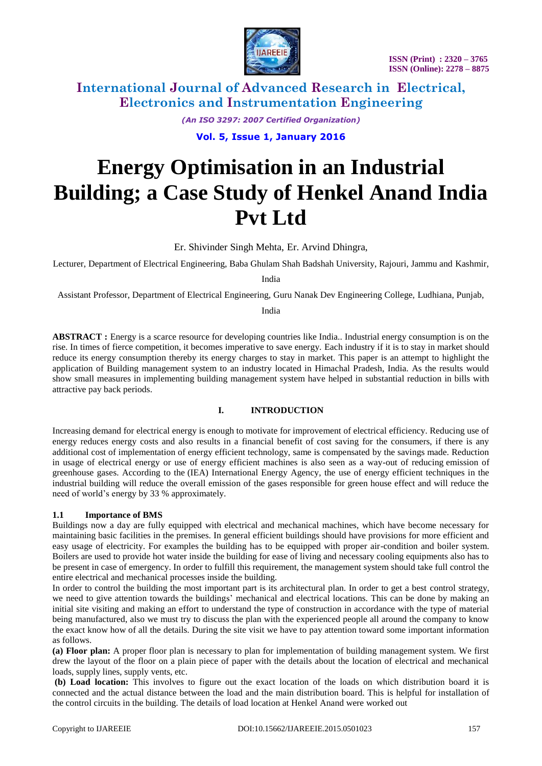

*(An ISO 3297: 2007 Certified Organization)*

**Vol. 5, Issue 1, January 2016**

# **Energy Optimisation in an Industrial Building; a Case Study of Henkel Anand India Pvt Ltd**

Er. Shivinder Singh Mehta, Er. Arvind Dhingra,

Lecturer, Department of Electrical Engineering, Baba Ghulam Shah Badshah University, Rajouri, Jammu and Kashmir,

India

Assistant Professor, Department of Electrical Engineering, Guru Nanak Dev Engineering College, Ludhiana, Punjab,

India

**ABSTRACT :** Energy is a scarce resource for developing countries like India.. Industrial energy consumption is on the rise. In times of fierce competition, it becomes imperative to save energy. Each industry if it is to stay in market should reduce its energy consumption thereby its energy charges to stay in market. This paper is an attempt to highlight the application of Building management system to an industry located in Himachal Pradesh, India. As the results would show small measures in implementing building management system have helped in substantial reduction in bills with attractive pay back periods.

### **I. INTRODUCTION**

Increasing demand for electrical energy is enough to motivate for improvement of electrical efficiency. Reducing use of energy reduces energy costs and also results in a financial benefit of cost saving for the consumers, if there is any additional cost of implementation of energy efficient technology, same is compensated by the savings made. Reduction in usage of electrical energy or use of energy efficient machines is also seen as a way-out of reducing emission of [greenhouse gase](https://en.wikipedia.org/wiki/Greenhouse_gas)s. According to the (IEA) [International Energy Agency,](https://en.wikipedia.org/wiki/International_Energy_Agency) the use of energy efficient techniques in the industrial building will reduce the overall emission of the gases responsible for green house effect and will reduce the need of world's energy by 33 % approximately.

#### **1.1 Importance of BMS**

Buildings now a day are fully equipped with electrical and mechanical machines, which have become necessary for maintaining basic facilities in the premises. In general efficient buildings should have provisions for more efficient and easy usage of electricity. For examples the building has to be equipped with proper air-condition and boiler system. Boilers are used to provide hot water inside the building for ease of living and necessary cooling equipments also has to be present in case of emergency. In order to fulfill this requirement, the management system should take full control the entire electrical and mechanical processes inside the building.

In order to control the building the most important part is its architectural plan. In order to get a best control strategy, we need to give attention towards the buildings' mechanical and electrical locations. This can be done by making an initial site visiting and making an effort to understand the type of construction in accordance with the type of material being manufactured, also we must try to discuss the plan with the experienced people all around the company to know the exact know how of all the details. During the site visit we have to pay attention toward some important information as follows.

**(a) Floor plan:** A proper floor plan is necessary to plan for implementation of building management system. We first drew the layout of the floor on a plain piece of paper with the details about the location of electrical and mechanical loads, supply lines, supply vents, etc.

**(b) Load location:** This involves to figure out the exact location of the loads on which distribution board it is connected and the actual distance between the load and the main distribution board. This is helpful for installation of the control circuits in the building. The details of load location at Henkel Anand were worked out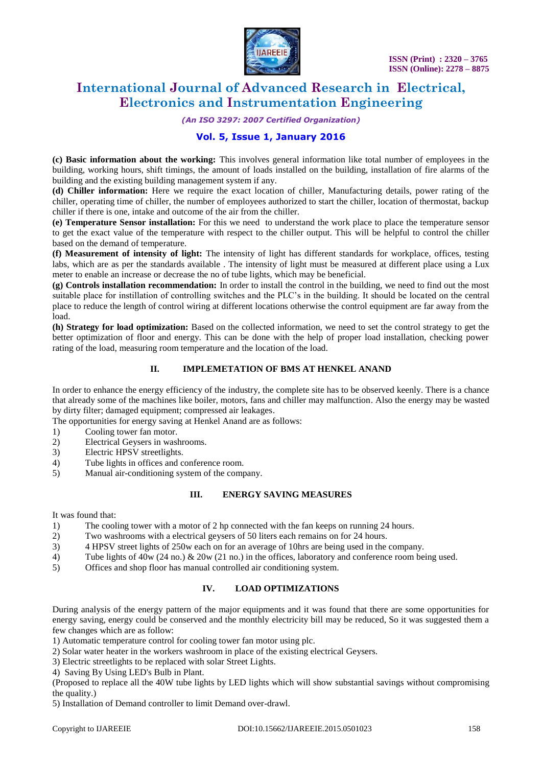

*(An ISO 3297: 2007 Certified Organization)*

# **Vol. 5, Issue 1, January 2016**

**(c) Basic information about the working:** This involves general information like total number of employees in the building, working hours, shift timings, the amount of loads installed on the building, installation of fire alarms of the building and the existing building management system if any.

**(d) Chiller information:** Here we require the exact location of chiller, Manufacturing details, power rating of the chiller, operating time of chiller, the number of employees authorized to start the chiller, location of thermostat, backup chiller if there is one, intake and outcome of the air from the chiller.

**(e) Temperature Sensor installation:** For this we need to understand the work place to place the temperature sensor to get the exact value of the temperature with respect to the chiller output. This will be helpful to control the chiller based on the demand of temperature.

**(f) Measurement of intensity of light:** The intensity of light has different standards for workplace, offices, testing labs, which are as per the standards available . The intensity of light must be measured at different place using a Lux meter to enable an increase or decrease the no of tube lights, which may be beneficial.

**(g) Controls installation recommendation:** In order to install the control in the building, we need to find out the most suitable place for instillation of controlling switches and the PLC's in the building. It should be located on the central place to reduce the length of control wiring at different locations otherwise the control equipment are far away from the load.

**(h) Strategy for load optimization:** Based on the collected information, we need to set the control strategy to get the better optimization of floor and energy. This can be done with the help of proper load installation, checking power rating of the load, measuring room temperature and the location of the load.

#### **II. IMPLEMETATION OF BMS AT HENKEL ANAND**

In order to enhance the energy efficiency of the industry, the complete site has to be observed keenly. There is a chance that already some of the machines like boiler, motors, fans and chiller may malfunction. Also the energy may be wasted by dirty filter; damaged equipment; compressed air leakages.

The opportunities for energy saving at Henkel Anand are as follows:

- 1) Cooling tower fan motor.
- 2) Electrical Geysers in washrooms.
- 3) Electric HPSV streetlights.
- 4) Tube lights in offices and conference room.
- 5) Manual air-conditioning system of the company.

#### **III. ENERGY SAVING MEASURES**

It was found that:

- 1) The cooling tower with a motor of 2 hp connected with the fan keeps on running 24 hours.
- 2) Two washrooms with a electrical geysers of 50 liters each remains on for 24 hours.
- 3) 4 HPSV street lights of 250w each on for an average of 10hrs are being used in the company.
- 4) Tube lights of 40w (24 no.) & 20w (21 no.) in the offices, laboratory and conference room being used.
- 5) Offices and shop floor has manual controlled air conditioning system.

## **IV. LOAD OPTIMIZATIONS**

During analysis of the energy pattern of the major equipments and it was found that there are some opportunities for energy saving, energy could be conserved and the monthly electricity bill may be reduced, So it was suggested them a few changes which are as follow:

1) Automatic temperature control for cooling tower fan motor using plc.

- 2) Solar water heater in the workers washroom in place of the existing electrical Geysers.
- 3) Electric streetlights to be replaced with solar Street Lights.
- 4) Saving By Using LED's Bulb in Plant.

(Proposed to replace all the 40W tube lights by LED lights which will show substantial savings without compromising the quality.)

5) Installation of Demand controller to limit Demand over-drawl.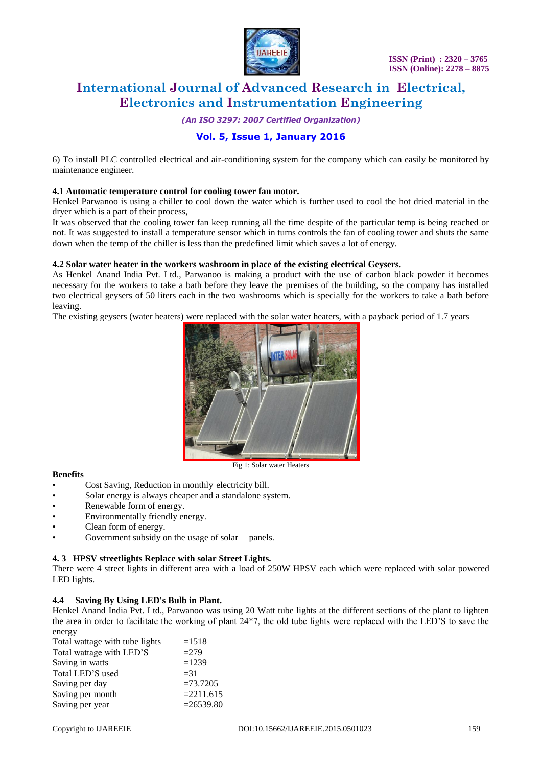

*(An ISO 3297: 2007 Certified Organization)*

# **Vol. 5, Issue 1, January 2016**

6) To install PLC controlled electrical and air-conditioning system for the company which can easily be monitored by maintenance engineer.

#### **4.1 Automatic temperature control for cooling tower fan motor.**

Henkel Parwanoo is using a chiller to cool down the water which is further used to cool the hot dried material in the dryer which is a part of their process,

It was observed that the cooling tower fan keep running all the time despite of the particular temp is being reached or not. It was suggested to install a temperature sensor which in turns controls the fan of cooling tower and shuts the same down when the temp of the chiller is less than the predefined limit which saves a lot of energy.

#### **4.2 Solar water heater in the workers washroom in place of the existing electrical Geysers.**

As Henkel Anand India Pvt. Ltd., Parwanoo is making a product with the use of carbon black powder it becomes necessary for the workers to take a bath before they leave the premises of the building, so the company has installed two electrical geysers of 50 liters each in the two washrooms which is specially for the workers to take a bath before leaving.

The existing geysers (water heaters) were replaced with the solar water heaters, with a payback period of 1.7 years



#### Fig 1: Solar water Heaters

#### **Benefits**

- Cost Saving, Reduction in monthly electricity bill.
- Solar energy is always cheaper and a standalone system.
- Renewable form of energy.
- Environmentally friendly energy.
- Clean form of energy.
- Government subsidy on the usage of solar panels.

#### **4. 3 HPSV streetlights Replace with solar Street Lights.**

There were 4 street lights in different area with a load of 250W HPSV each which were replaced with solar powered LED lights.

#### **4.4 Saving By Using LED's Bulb in Plant.**

Henkel Anand India Pvt. Ltd., Parwanoo was using 20 Watt tube lights at the different sections of the plant to lighten the area in order to facilitate the working of plant 24\*7, the old tube lights were replaced with the LED'S to save the energy

| Total wattage with tube lights | $=1518$      |
|--------------------------------|--------------|
| Total wattage with LED'S       | $=279$       |
| Saving in watts                | $=1239$      |
| Total LED'S used               | $=$ 31       |
| Saving per day                 | $=73.7205$   |
| Saving per month               | $=2211.615$  |
| Saving per year                | $= 26539.80$ |
|                                |              |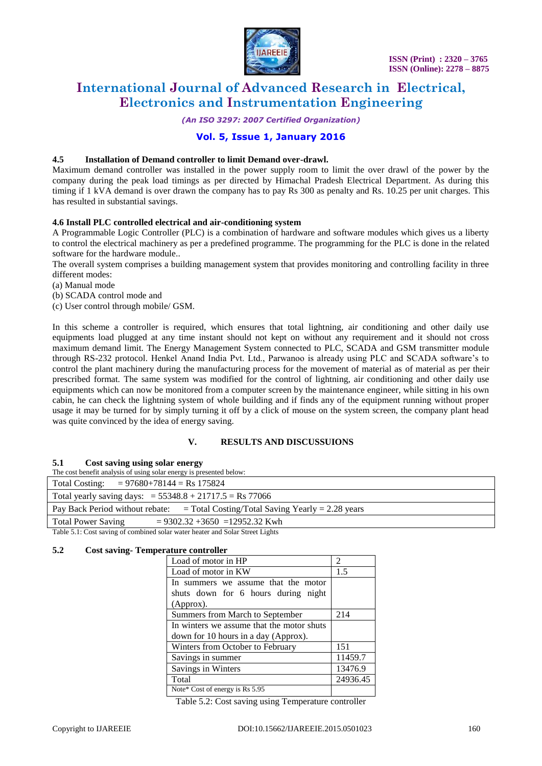

*(An ISO 3297: 2007 Certified Organization)*

# **Vol. 5, Issue 1, January 2016**

#### **4.5 Installation of Demand controller to limit Demand over-drawl.**

Maximum demand controller was installed in the power supply room to limit the over drawl of the power by the company during the peak load timings as per directed by Himachal Pradesh Electrical Department. As during this timing if 1 kVA demand is over drawn the company has to pay Rs 300 as penalty and Rs. 10.25 per unit charges. This has resulted in substantial savings.

#### **4.6 Install PLC controlled electrical and air-conditioning system**

A Programmable Logic Controller (PLC) is a combination of hardware and software modules which gives us a liberty to control the electrical machinery as per a predefined programme. The programming for the PLC is done in the related software for the hardware module..

The overall system comprises a building management system that provides monitoring and controlling facility in three different modes:

(a) Manual mode

- (b) SCADA control mode and
- (c) User control through mobile/ GSM.

In this scheme a controller is required, which ensures that total lightning, air conditioning and other daily use equipments load plugged at any time instant should not kept on without any requirement and it should not cross maximum demand limit. The Energy Management System connected to PLC, SCADA and GSM transmitter module through RS-232 protocol. Henkel Anand India Pvt. Ltd., Parwanoo is already using PLC and SCADA software's to control the plant machinery during the manufacturing process for the movement of material as of material as per their prescribed format. The same system was modified for the control of lightning, air conditioning and other daily use equipments which can now be monitored from a computer screen by the maintenance engineer, while sitting in his own cabin, he can check the lightning system of whole building and if finds any of the equipment running without proper usage it may be turned for by simply turning it off by a click of mouse on the system screen, the company plant head was quite convinced by the idea of energy saving.

#### **V. RESULTS AND DISCUSSUIONS**

#### **5.1 Cost saving using solar energy**

| The cost benefit analysis of using solar energy is presented below:                |
|------------------------------------------------------------------------------------|
| Total Costing: $= 97680+78144 = \text{Rs } 175824$                                 |
| Total yearly saving days: $= 55348.8 + 21717.5 = \text{Rs } 77066$                 |
| Pay Back Period without rebate: $=$ Total Costing/Total Saving Yearly = 2.28 years |
| $= 9302.32 + 3650 = 12952.32$ Kwh<br><b>Total Power Saving</b>                     |

Table 5.1: Cost saving of combined solar water heater and Solar Street Lights

#### **5.2 Cost saving- Temperature controller**

| Load of motor in HP                       | $\mathfrak{D}$ |  |
|-------------------------------------------|----------------|--|
| Load of motor in KW                       | 1.5            |  |
| In summers we assume that the motor       |                |  |
| shuts down for 6 hours during night       |                |  |
| (Approx).                                 |                |  |
| Summers from March to September           | 214            |  |
| In winters we assume that the motor shuts |                |  |
| down for 10 hours in a day (Approx).      |                |  |
| Winters from October to February          | 151            |  |
| Savings in summer                         | 11459.7        |  |
| Savings in Winters                        | 13476.9        |  |
| Total                                     | 24936.45       |  |
| Note* Cost of energy is Rs 5.95           |                |  |

Table 5.2: Cost saving using Temperature controller